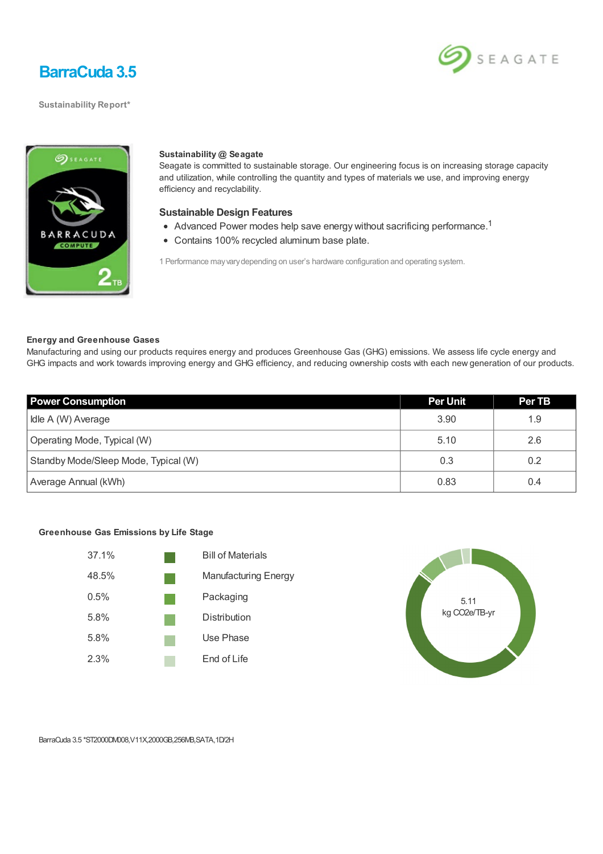

**Sustainability Report\***





### **Sustainability @ Seagate**

Seagate is committed to sustainable storage. Our engineering focus is on increasing storage capacity and utilization, while controlling the quantity and types of materials we use, and improving energy efficiency and recyclability.

### **Sustainable Design Features**

- Advanced Power modes help save energy without sacrificing performance.<sup>1</sup>
- Contains 100% recycled aluminum base plate.

1 Performance mayvarydepending on user's hardware configuration and operating system.

### **Energy and Greenhouse Gases**

Manufacturing and using our products requires energy and produces Greenhouse Gas (GHG) emissions. We assess life cycle energy and GHG impacts and work towards improving energy and GHG efficiency, and reducing ownership costs with each new generation of our products.

| <b>Power Consumption</b>             | <b>Per Unit</b> | Per TB |
|--------------------------------------|-----------------|--------|
| Idle A (W) Average                   | 3.90            | 1.9    |
| Operating Mode, Typical (W)          | 5.10            | 2.6    |
| Standby Mode/Sleep Mode, Typical (W) | 0.3             | 0.2    |
| Average Annual (kWh)                 | 0.83            | 0.4    |

#### **Greenhouse Gas Emissions by Life Stage**





BarraCuda 3.5 \*ST2000DM008,V11X,2000GB,256MB,SATA,1D/2H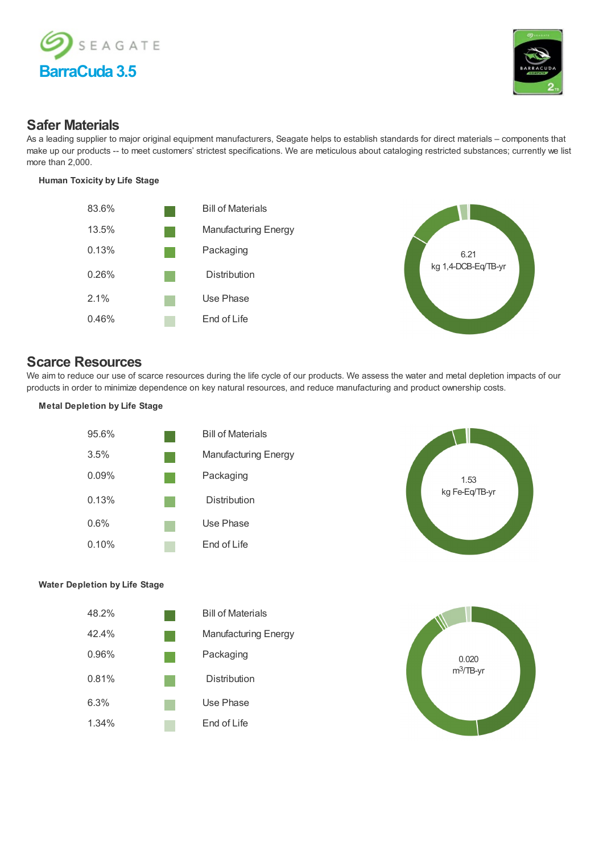



## **Safer Materials**

As a leading supplier to major original equipment manufacturers, Seagate helps to establish standards for direct materials – components that make up our products -- to meet customers' strictest specifications. We are meticulous about cataloging restricted substances; currently we list more than 2,000.

### **Human Toxicity by Life Stage**



# **Scarce Resources**

We aim to reduce our use of scarce resources during the life cycle of our products. We assess the water and metal depletion impacts of our products in order to minimize dependence on key natural resources, and reduce manufacturing and product ownership costs.

**Metal Depletion by Life Stage**





## **Water Depletion by Life Stage**